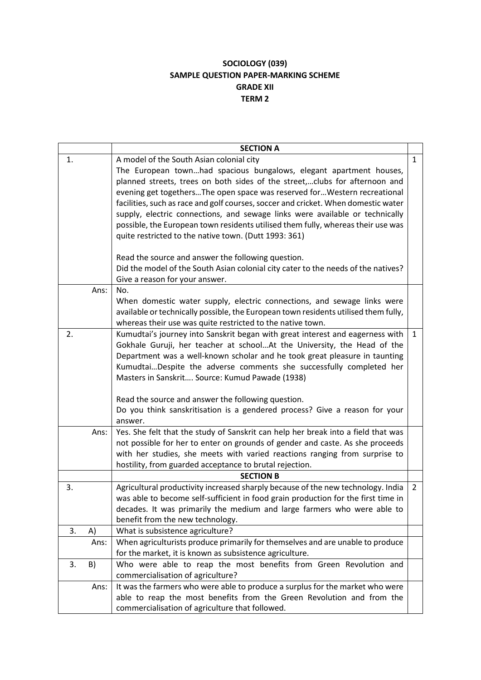## **SOCIOLOGY (039) SAMPLE QUESTION PAPER-MARKING SCHEME GRADE XII TERM 2**

|    |      | <b>SECTION A</b>                                                                                                                                                                                                                                                                                                                                                                                                                                                                                                                                                                                                                                                                                                                       |                |
|----|------|----------------------------------------------------------------------------------------------------------------------------------------------------------------------------------------------------------------------------------------------------------------------------------------------------------------------------------------------------------------------------------------------------------------------------------------------------------------------------------------------------------------------------------------------------------------------------------------------------------------------------------------------------------------------------------------------------------------------------------------|----------------|
| 1. |      | A model of the South Asian colonial city<br>The European townhad spacious bungalows, elegant apartment houses,<br>planned streets, trees on both sides of the street,clubs for afternoon and<br>evening get togethersThe open space was reserved forWestern recreational<br>facilities, such as race and golf courses, soccer and cricket. When domestic water<br>supply, electric connections, and sewage links were available or technically<br>possible, the European town residents utilised them fully, whereas their use was<br>quite restricted to the native town. (Dutt 1993: 361)<br>Read the source and answer the following question.<br>Did the model of the South Asian colonial city cater to the needs of the natives? | $\mathbf{1}$   |
|    | Ans: | Give a reason for your answer.<br>No.<br>When domestic water supply, electric connections, and sewage links were<br>available or technically possible, the European town residents utilised them fully,<br>whereas their use was quite restricted to the native town.                                                                                                                                                                                                                                                                                                                                                                                                                                                                  |                |
| 2. |      | Kumudtai's journey into Sanskrit began with great interest and eagerness with<br>Gokhale Guruji, her teacher at schoolAt the University, the Head of the<br>Department was a well-known scholar and he took great pleasure in taunting<br>KumudtaiDespite the adverse comments she successfully completed her<br>Masters in Sanskrit Source: Kumud Pawade (1938)<br>Read the source and answer the following question.<br>Do you think sanskritisation is a gendered process? Give a reason for your<br>answer.                                                                                                                                                                                                                        | $\mathbf{1}$   |
|    | Ans: | Yes. She felt that the study of Sanskrit can help her break into a field that was<br>not possible for her to enter on grounds of gender and caste. As she proceeds<br>with her studies, she meets with varied reactions ranging from surprise to<br>hostility, from guarded acceptance to brutal rejection.                                                                                                                                                                                                                                                                                                                                                                                                                            |                |
|    |      | <b>SECTION B</b>                                                                                                                                                                                                                                                                                                                                                                                                                                                                                                                                                                                                                                                                                                                       |                |
| 3. |      | Agricultural productivity increased sharply because of the new technology. India<br>was able to become self-sufficient in food grain production for the first time in<br>decades. It was primarily the medium and large farmers who were able to<br>benefit from the new technology.                                                                                                                                                                                                                                                                                                                                                                                                                                                   | $\overline{2}$ |
| 3. | A)   | What is subsistence agriculture?                                                                                                                                                                                                                                                                                                                                                                                                                                                                                                                                                                                                                                                                                                       |                |
|    | Ans: | When agriculturists produce primarily for themselves and are unable to produce<br>for the market, it is known as subsistence agriculture.                                                                                                                                                                                                                                                                                                                                                                                                                                                                                                                                                                                              |                |
| 3. | B)   | Who were able to reap the most benefits from Green Revolution and<br>commercialisation of agriculture?                                                                                                                                                                                                                                                                                                                                                                                                                                                                                                                                                                                                                                 |                |
|    | Ans: | It was the farmers who were able to produce a surplus for the market who were<br>able to reap the most benefits from the Green Revolution and from the<br>commercialisation of agriculture that followed.                                                                                                                                                                                                                                                                                                                                                                                                                                                                                                                              |                |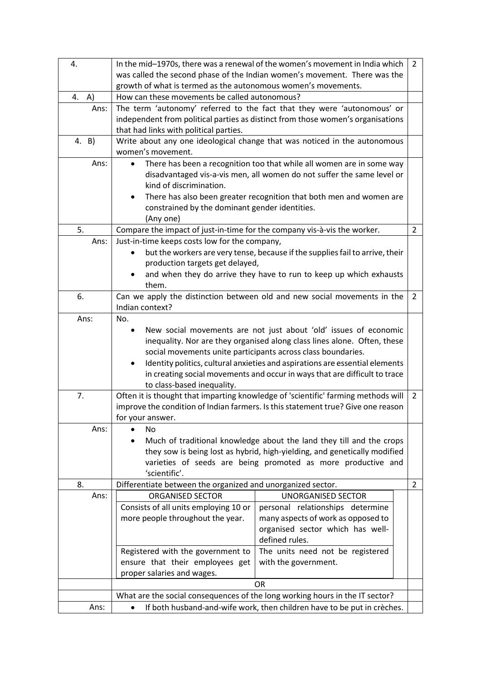| 4.      | In the mid-1970s, there was a renewal of the women's movement in India which<br>2           |                                                                                                                                                   |                |
|---------|---------------------------------------------------------------------------------------------|---------------------------------------------------------------------------------------------------------------------------------------------------|----------------|
|         | was called the second phase of the Indian women's movement. There was the                   |                                                                                                                                                   |                |
|         | growth of what is termed as the autonomous women's movements.                               |                                                                                                                                                   |                |
| 4. $A)$ | How can these movements be called autonomous?                                               |                                                                                                                                                   |                |
| Ans:    |                                                                                             | The term 'autonomy' referred to the fact that they were 'autonomous' or                                                                           |                |
|         |                                                                                             | independent from political parties as distinct from those women's organisations                                                                   |                |
|         | that had links with political parties.                                                      |                                                                                                                                                   |                |
| 4. B)   |                                                                                             | Write about any one ideological change that was noticed in the autonomous                                                                         |                |
|         | women's movement.                                                                           |                                                                                                                                                   |                |
| Ans:    | $\bullet$<br>kind of discrimination.                                                        | There has been a recognition too that while all women are in some way<br>disadvantaged vis-a-vis men, all women do not suffer the same level or   |                |
|         | ٠<br>constrained by the dominant gender identities.<br>(Any one)                            | There has also been greater recognition that both men and women are                                                                               |                |
| 5.      | Compare the impact of just-in-time for the company vis-à-vis the worker.                    |                                                                                                                                                   | $\overline{2}$ |
| Ans:    | Just-in-time keeps costs low for the company,                                               |                                                                                                                                                   |                |
|         |                                                                                             | but the workers are very tense, because if the supplies fail to arrive, their                                                                     |                |
|         | production targets get delayed,                                                             |                                                                                                                                                   |                |
|         |                                                                                             | and when they do arrive they have to run to keep up which exhausts                                                                                |                |
|         | them.                                                                                       |                                                                                                                                                   |                |
| 6.      | Can we apply the distinction between old and new social movements in the<br>Indian context? |                                                                                                                                                   | 2              |
| Ans:    | No.                                                                                         |                                                                                                                                                   |                |
|         |                                                                                             | New social movements are not just about 'old' issues of economic                                                                                  |                |
|         |                                                                                             | inequality. Nor are they organised along class lines alone. Often, these                                                                          |                |
|         |                                                                                             | social movements unite participants across class boundaries.                                                                                      |                |
|         |                                                                                             | Identity politics, cultural anxieties and aspirations are essential elements                                                                      |                |
|         |                                                                                             | in creating social movements and occur in ways that are difficult to trace                                                                        |                |
|         | to class-based inequality.                                                                  |                                                                                                                                                   |                |
| 7.      |                                                                                             | Often it is thought that imparting knowledge of 'scientific' farming methods will                                                                 | $\overline{2}$ |
|         |                                                                                             | improve the condition of Indian farmers. Is this statement true? Give one reason                                                                  |                |
|         | for your answer.                                                                            |                                                                                                                                                   |                |
| Ans:    | No                                                                                          |                                                                                                                                                   |                |
|         |                                                                                             | Much of traditional knowledge about the land they till and the crops<br>they sow is being lost as hybrid, high-yielding, and genetically modified |                |
|         |                                                                                             | varieties of seeds are being promoted as more productive and                                                                                      |                |
|         | 'scientific'.                                                                               |                                                                                                                                                   |                |
| 8.      | Differentiate between the organized and unorganized sector.                                 |                                                                                                                                                   | $\overline{2}$ |
| Ans:    | <b>ORGANISED SECTOR</b>                                                                     | <b>UNORGANISED SECTOR</b>                                                                                                                         |                |
|         | Consists of all units employing 10 or                                                       | personal relationships determine                                                                                                                  |                |
|         | more people throughout the year.                                                            | many aspects of work as opposed to                                                                                                                |                |
|         |                                                                                             | organised sector which has well-                                                                                                                  |                |
|         |                                                                                             | defined rules.                                                                                                                                    |                |
|         | Registered with the government to                                                           | The units need not be registered                                                                                                                  |                |
|         | ensure that their employees get                                                             | with the government.                                                                                                                              |                |
|         | proper salaries and wages.                                                                  |                                                                                                                                                   |                |
|         | <b>OR</b>                                                                                   |                                                                                                                                                   |                |
|         | What are the social consequences of the long working hours in the IT sector?                |                                                                                                                                                   |                |
| Ans:    | If both husband-and-wife work, then children have to be put in crèches.<br>$\bullet$        |                                                                                                                                                   |                |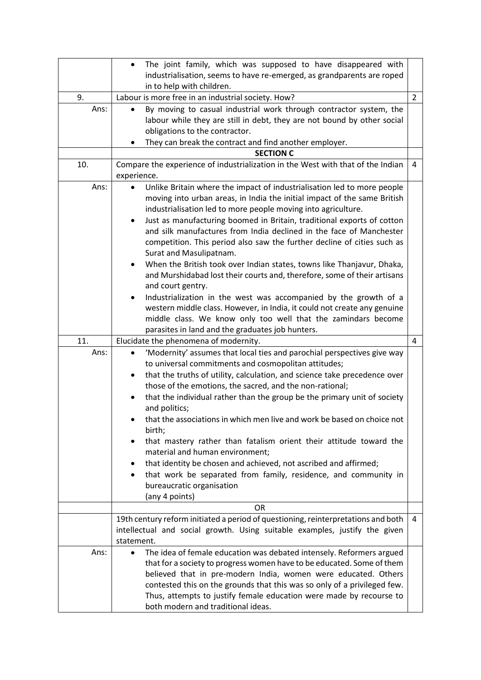|                     | The joint family, which was supposed to have disappeared with<br>$\bullet$<br>industrialisation, seems to have re-emerged, as grandparents are roped<br>in to help with children.                                                                                                                                                                                                                                                                                                                                                                                                                                                                                                                                                                                                                                                                                                                                                                                                                                                                                                                                                                                                                                |                |  |
|---------------------|------------------------------------------------------------------------------------------------------------------------------------------------------------------------------------------------------------------------------------------------------------------------------------------------------------------------------------------------------------------------------------------------------------------------------------------------------------------------------------------------------------------------------------------------------------------------------------------------------------------------------------------------------------------------------------------------------------------------------------------------------------------------------------------------------------------------------------------------------------------------------------------------------------------------------------------------------------------------------------------------------------------------------------------------------------------------------------------------------------------------------------------------------------------------------------------------------------------|----------------|--|
| 9.                  | Labour is more free in an industrial society. How?                                                                                                                                                                                                                                                                                                                                                                                                                                                                                                                                                                                                                                                                                                                                                                                                                                                                                                                                                                                                                                                                                                                                                               | $\overline{2}$ |  |
| Ans:                | By moving to casual industrial work through contractor system, the<br>labour while they are still in debt, they are not bound by other social<br>obligations to the contractor.<br>They can break the contract and find another employer.                                                                                                                                                                                                                                                                                                                                                                                                                                                                                                                                                                                                                                                                                                                                                                                                                                                                                                                                                                        |                |  |
|                     | <b>SECTION C</b>                                                                                                                                                                                                                                                                                                                                                                                                                                                                                                                                                                                                                                                                                                                                                                                                                                                                                                                                                                                                                                                                                                                                                                                                 |                |  |
| 10.                 | Compare the experience of industrialization in the West with that of the Indian<br>experience.                                                                                                                                                                                                                                                                                                                                                                                                                                                                                                                                                                                                                                                                                                                                                                                                                                                                                                                                                                                                                                                                                                                   | 4              |  |
| Ans:<br>11.<br>Ans: | Unlike Britain where the impact of industrialisation led to more people<br>$\bullet$<br>moving into urban areas, in India the initial impact of the same British<br>industrialisation led to more people moving into agriculture.<br>Just as manufacturing boomed in Britain, traditional exports of cotton<br>٠<br>and silk manufactures from India declined in the face of Manchester<br>competition. This period also saw the further decline of cities such as<br>Surat and Masulipatnam.<br>When the British took over Indian states, towns like Thanjavur, Dhaka,<br>٠<br>and Murshidabad lost their courts and, therefore, some of their artisans<br>and court gentry.<br>Industrialization in the west was accompanied by the growth of a<br>western middle class. However, in India, it could not create any genuine<br>middle class. We know only too well that the zamindars become<br>parasites in land and the graduates job hunters.<br>Elucidate the phenomena of modernity.<br>'Modernity' assumes that local ties and parochial perspectives give way<br>to universal commitments and cosmopolitan attitudes;<br>that the truths of utility, calculation, and science take precedence over<br>٠ | $\overline{4}$ |  |
|                     | those of the emotions, the sacred, and the non-rational;<br>that the individual rather than the group be the primary unit of society<br>and politics;<br>that the associations in which men live and work be based on choice not<br>birth;<br>that mastery rather than fatalism orient their attitude toward the<br>material and human environment;<br>that identity be chosen and achieved, not ascribed and affirmed;<br>that work be separated from family, residence, and community in<br>bureaucratic organisation<br>(any 4 points)<br><b>OR</b>                                                                                                                                                                                                                                                                                                                                                                                                                                                                                                                                                                                                                                                           |                |  |
|                     |                                                                                                                                                                                                                                                                                                                                                                                                                                                                                                                                                                                                                                                                                                                                                                                                                                                                                                                                                                                                                                                                                                                                                                                                                  |                |  |
|                     | 19th century reform initiated a period of questioning, reinterpretations and both<br>intellectual and social growth. Using suitable examples, justify the given<br>statement.                                                                                                                                                                                                                                                                                                                                                                                                                                                                                                                                                                                                                                                                                                                                                                                                                                                                                                                                                                                                                                    | 4              |  |
| Ans:                | The idea of female education was debated intensely. Reformers argued<br>that for a society to progress women have to be educated. Some of them<br>believed that in pre-modern India, women were educated. Others<br>contested this on the grounds that this was so only of a privileged few.<br>Thus, attempts to justify female education were made by recourse to<br>both modern and traditional ideas.                                                                                                                                                                                                                                                                                                                                                                                                                                                                                                                                                                                                                                                                                                                                                                                                        |                |  |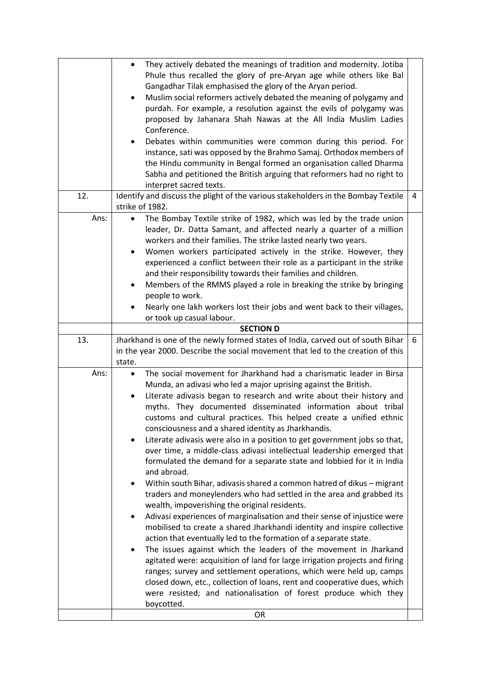|                                                                                          | They actively debated the meanings of tradition and modernity. Jotiba<br>$\bullet$                                                              |   |
|------------------------------------------------------------------------------------------|-------------------------------------------------------------------------------------------------------------------------------------------------|---|
|                                                                                          | Phule thus recalled the glory of pre-Aryan age while others like Bal                                                                            |   |
|                                                                                          | Gangadhar Tilak emphasised the glory of the Aryan period.                                                                                       |   |
|                                                                                          | Muslim social reformers actively debated the meaning of polygamy and<br>$\bullet$                                                               |   |
|                                                                                          | purdah. For example, a resolution against the evils of polygamy was                                                                             |   |
|                                                                                          | proposed by Jahanara Shah Nawas at the All India Muslim Ladies                                                                                  |   |
|                                                                                          | Conference.                                                                                                                                     |   |
|                                                                                          | Debates within communities were common during this period. For<br>٠                                                                             |   |
|                                                                                          | instance, sati was opposed by the Brahmo Samaj. Orthodox members of                                                                             |   |
|                                                                                          | the Hindu community in Bengal formed an organisation called Dharma                                                                              |   |
|                                                                                          | Sabha and petitioned the British arguing that reformers had no right to                                                                         |   |
|                                                                                          | interpret sacred texts.                                                                                                                         |   |
| 12.<br>Identify and discuss the plight of the various stakeholders in the Bombay Textile |                                                                                                                                                 | 4 |
|                                                                                          | strike of 1982.                                                                                                                                 |   |
| Ans:                                                                                     | The Bombay Textile strike of 1982, which was led by the trade union<br>$\bullet$                                                                |   |
|                                                                                          | leader, Dr. Datta Samant, and affected nearly a quarter of a million                                                                            |   |
|                                                                                          | workers and their families. The strike lasted nearly two years.                                                                                 |   |
|                                                                                          | Women workers participated actively in the strike. However, they<br>٠                                                                           |   |
|                                                                                          | experienced a conflict between their role as a participant in the strike<br>and their responsibility towards their families and children.       |   |
|                                                                                          | Members of the RMMS played a role in breaking the strike by bringing<br>٠                                                                       |   |
|                                                                                          | people to work.                                                                                                                                 |   |
|                                                                                          | Nearly one lakh workers lost their jobs and went back to their villages,                                                                        |   |
|                                                                                          | or took up casual labour.                                                                                                                       |   |
|                                                                                          | <b>SECTION D</b>                                                                                                                                |   |
|                                                                                          |                                                                                                                                                 |   |
| 13.                                                                                      | Jharkhand is one of the newly formed states of India, carved out of south Bihar                                                                 | 6 |
|                                                                                          | in the year 2000. Describe the social movement that led to the creation of this                                                                 |   |
|                                                                                          | state.                                                                                                                                          |   |
| Ans:                                                                                     | The social movement for Jharkhand had a charismatic leader in Birsa<br>$\bullet$                                                                |   |
|                                                                                          | Munda, an adivasi who led a major uprising against the British.                                                                                 |   |
|                                                                                          | Literate adivasis began to research and write about their history and                                                                           |   |
|                                                                                          | myths. They documented disseminated information about tribal                                                                                    |   |
|                                                                                          | customs and cultural practices. This helped create a unified ethnic                                                                             |   |
|                                                                                          | consciousness and a shared identity as Jharkhandis.                                                                                             |   |
|                                                                                          | Literate adivasis were also in a position to get government jobs so that,<br>$\bullet$                                                          |   |
|                                                                                          | over time, a middle-class adivasi intellectual leadership emerged that                                                                          |   |
|                                                                                          | formulated the demand for a separate state and lobbied for it in India                                                                          |   |
|                                                                                          | and abroad.                                                                                                                                     |   |
|                                                                                          | Within south Bihar, adivasis shared a common hatred of dikus - migrant<br>$\bullet$                                                             |   |
|                                                                                          | traders and moneylenders who had settled in the area and grabbed its                                                                            |   |
|                                                                                          | wealth, impoverishing the original residents.                                                                                                   |   |
|                                                                                          | Adivasi experiences of marginalisation and their sense of injustice were                                                                        |   |
|                                                                                          | mobilised to create a shared Jharkhandi identity and inspire collective                                                                         |   |
|                                                                                          | action that eventually led to the formation of a separate state.<br>٠                                                                           |   |
|                                                                                          | The issues against which the leaders of the movement in Jharkand                                                                                |   |
|                                                                                          | agitated were: acquisition of land for large irrigation projects and firing                                                                     |   |
|                                                                                          | ranges; survey and settlement operations, which were held up, camps<br>closed down, etc., collection of loans, rent and cooperative dues, which |   |
|                                                                                          | were resisted; and nationalisation of forest produce which they                                                                                 |   |
|                                                                                          | boycotted.                                                                                                                                      |   |